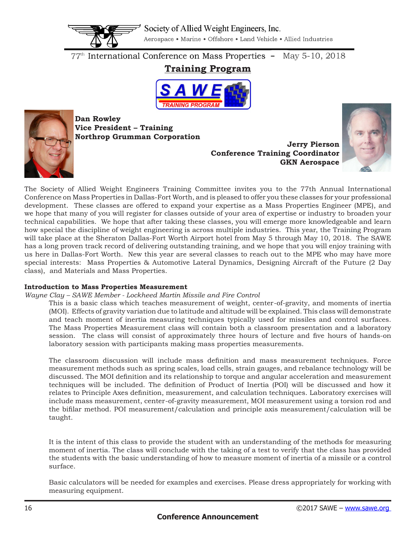

77<sup>th</sup> International Conference on Mass Properties - May 5-10, 2018

# **Training Program**





**Dan Rowley Vice President – Training Northrop Grumman Corporation**

**Jerry Pierson Conference Training Coordinator GKN Aerospace**



The Society of Allied Weight Engineers Training Committee invites you to the 77th Annual International Conference on Mass Properties in Dallas-Fort Worth, and is pleased to offer you these classes for your professional development. These classes are offered to expand your expertise as a Mass Properties Engineer (MPE), and we hope that many of you will register for classes outside of your area of expertise or industry to broaden your technical capabilities. We hope that after taking these classes, you will emerge more knowledgeable and learn how special the discipline of weight engineering is across multiple industries. This year, the Training Program will take place at the Sheraton Dallas-Fort Worth Airport hotel from May 5 through May 10, 2018. The SAWE has a long proven track record of delivering outstanding training, and we hope that you will enjoy training with us here in Dallas-Fort Worth. New this year are several classes to reach out to the MPE who may have more special interests: Mass Properties & Automotive Lateral Dynamics, Designing Aircraft of the Future (2 Day class), and Materials and Mass Properties.

# **Introduction to Mass Properties Measurement**

# *Wayne Clay – SAWE Member - Lockheed Martin Missile and Fire Control*

This is a basic class which teaches measurement of weight, center-of-gravity, and moments of inertia (MOI). Effects of gravity variation due to latitude and altitude will be explained. This class will demonstrate and teach moment of inertia measuring techniques typically used for missiles and control surfaces. The Mass Properties Measurement class will contain both a classroom presentation and a laboratory session. The class will consist of approximately three hours of lecture and fve hours of hands-on laboratory session with participants making mass properties measurements.

The classroom discussion will include mass defnition and mass measurement techniques. Force measurement methods such as spring scales, load cells, strain gauges, and rebalance technology will be discussed. The MOI defnition and its relationship to torque and angular acceleration and measurement techniques will be included. The defnition of Product of Inertia (POI) will be discussed and how it relates to Principle Axes defnition, measurement, and calculation techniques. Laboratory exercises will include mass measurement, center-of-gravity measurement, MOI measurement using a torsion rod and the biflar method. POI measurement/calculation and principle axis measurement/calculation will be taught.

It is the intent of this class to provide the student with an understanding of the methods for measuring moment of inertia. The class will conclude with the taking of a test to verify that the class has provided the students with the basic understanding of how to measure moment of inertia of a missile or a control surface.

Basic calculators will be needed for examples and exercises. Please dress appropriately for working with measuring equipment.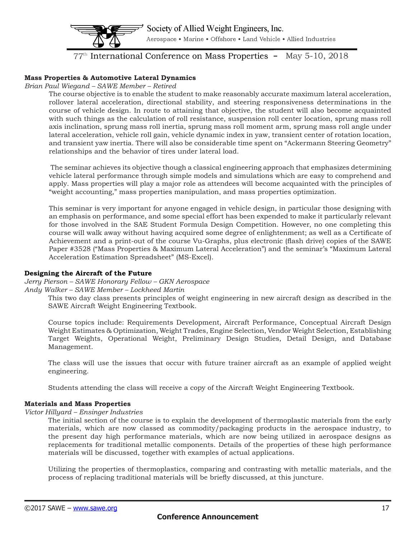

 $77<sup>th</sup>$  International Conference on Mass Properties - May 5-10, 2018

# **Mass Properties & Automotive Lateral Dynamics**

# *Brian Paul Wiegand – SAWE Member – Retired*

The course objective is to enable the student to make reasonably accurate maximum lateral acceleration, rollover lateral acceleration, directional stability, and steering responsiveness determinations in the course of vehicle design. In route to attaining that objective, the student will also become acquainted with such things as the calculation of roll resistance, suspension roll center location, sprung mass roll axis inclination, sprung mass roll inertia, sprung mass roll moment arm, sprung mass roll angle under lateral acceleration, vehicle roll gain, vehicle dynamic index in yaw, transient center of rotation location, and transient yaw inertia. There will also be considerable time spent on "Ackermann Steering Geometry" relationships and the behavior of tires under lateral load.

 The seminar achieves its objective though a classical engineering approach that emphasizes determining vehicle lateral performance through simple models and simulations which are easy to comprehend and apply. Mass properties will play a major role as attendees will become acquainted with the principles of "weight accounting," mass properties manipulation, and mass properties optimization.

This seminar is very important for anyone engaged in vehicle design, in particular those designing with an emphasis on performance, and some special effort has been expended to make it particularly relevant for those involved in the SAE Student Formula Design Competition. However, no one completing this course will walk away without having acquired some degree of enlightenment; as well as a Certifcate of Achievement and a print-out of the course Vu-Graphs, plus electronic (fash drive) copies of the SAWE Paper #3528 ("Mass Properties & Maximum Lateral Acceleration") and the seminar's "Maximum Lateral Acceleration Estimation Spreadsheet" (MS-Excel).

# **Designing the Aircraft of the Future**

*Jerry Pierson – SAWE Honorary Fellow – GKN Aerospace*

#### *Andy Walker – SAWE Member – Lockheed Martin*

This two day class presents principles of weight engineering in new aircraft design as described in the SAWE Aircraft Weight Engineering Textbook.

Course topics include: Requirements Development, Aircraft Performance, Conceptual Aircraft Design Weight Estimates & Optimization, Weight Trades, Engine Selection, Vendor Weight Selection, Establishing Target Weights, Operational Weight, Preliminary Design Studies, Detail Design, and Database Management.

The class will use the issues that occur with future trainer aircraft as an example of applied weight engineering.

Students attending the class will receive a copy of the Aircraft Weight Engineering Textbook.

# **Materials and Mass Properties**

### *Victor Hillyard – Ensinger Industries*

The initial section of the course is to explain the development of thermoplastic materials from the early materials, which are now classed as commodity/packaging products in the aerospace industry, to the present day high performance materials, which are now being utilized in aerospace designs as replacements for traditional metallic components. Details of the properties of these high performance materials will be discussed, together with examples of actual applications.

Utilizing the properties of thermoplastics, comparing and contrasting with metallic materials, and the process of replacing traditional materials will be briefy discussed, at this juncture.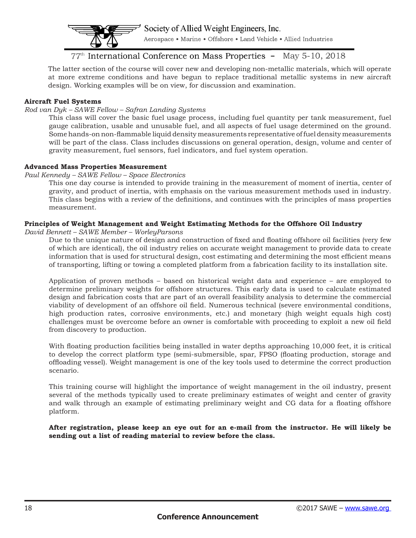

# 77<sup>th</sup> International Conference on Mass Properties - May 5-10, 2018

The latter section of the course will cover new and developing non-metallic materials, which will operate at more extreme conditions and have begun to replace traditional metallic systems in new aircraft design. Working examples will be on view, for discussion and examination.

### **Aircraft Fuel Systems**

#### *Rod van Dyk – SAWE Fellow – Safran Landing Systems*

This class will cover the basic fuel usage process, including fuel quantity per tank measurement, fuel gauge calibration, usable and unusable fuel, and all aspects of fuel usage determined on the ground. Some hands-on non-fammable liquid density measurements representative of fuel density measurements will be part of the class. Class includes discussions on general operation, design, volume and center of gravity measurement, fuel sensors, fuel indicators, and fuel system operation.

#### **Advanced Mass Properties Measurement**

#### *Paul Kennedy – SAWE Fellow – Space Electronics*

This one day course is intended to provide training in the measurement of moment of inertia, center of gravity, and product of inertia, with emphasis on the various measurement methods used in industry. This class begins with a review of the defnitions, and continues with the principles of mass properties measurement.

# **Principles of Weight Management and Weight Estimating Methods for the Offshore Oil Industry**

*David Bennett – SAWE Member – WorleyParsons* 

Due to the unique nature of design and construction of fxed and foating offshore oil facilities (very few of which are identical), the oil industry relies on accurate weight management to provide data to create information that is used for structural design, cost estimating and determining the most effcient means of transporting, lifting or towing a completed platform from a fabrication facility to its installation site.

Application of proven methods – based on historical weight data and experience – are employed to determine preliminary weights for offshore structures. This early data is used to calculate estimated design and fabrication costs that are part of an overall feasibility analysis to determine the commercial viability of development of an offshore oil feld. Numerous technical (severe environmental conditions, high production rates, corrosive environments, etc.) and monetary (high weight equals high cost) challenges must be overcome before an owner is comfortable with proceeding to exploit a new oil feld from discovery to production.

With foating production facilities being installed in water depths approaching 10,000 feet, it is critical to develop the correct platform type (semi-submersible, spar, FPSO (foating production, storage and offoading vessel). Weight management is one of the key tools used to determine the correct production scenario.

This training course will highlight the importance of weight management in the oil industry, present several of the methods typically used to create preliminary estimates of weight and center of gravity and walk through an example of estimating preliminary weight and CG data for a foating offshore platform.

**After registration, please keep an eye out for an e-mail from the instructor. He will likely be sending out a list of reading material to review before the class.**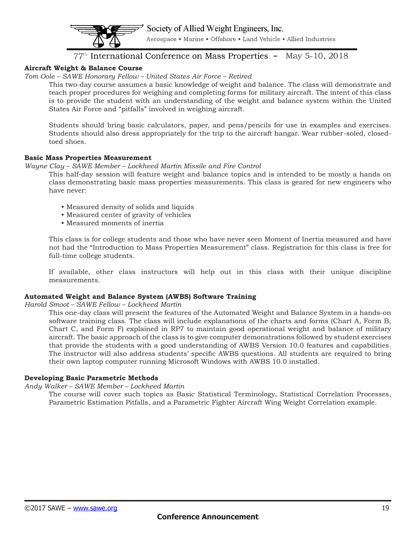Aerospace • Marine • Offshore • Land Vehicle • Allied Industries

# $77<sup>th</sup>$  International Conference on Mass Properties - May 5-10, 2018

# **Aircraft Weight & Balance Course**

# *Tom Oole – SAWE Honorary Fellow – United States Air Force – Retired*

This two-day course assumes a basic knowledge of weight and balance. The class will demonstrate and teach proper procedures for weighing and completing forms for military aircraft. The intent of this class is to provide the student with an understanding of the weight and balance system within the United States Air Force and "pitfalls" involved in weighing aircraft.

Students should bring basic calculators, paper, and pens/pencils for use in examples and exercises. Students should also dress appropriately for the trip to the aircraft hangar. Wear rubber-soled, closedtoed shoes.

#### **Basic Mass Properties Measurement**

#### *Wayne Clay – SAWE Member – Lockheed Martin Missile and Fire Control*

This half-day session will feature weight and balance topics and is intended to be mostly a hands on class demonstrating basic mass properties measurements. This class is geared for new engineers who have never:

- Measured density of solids and liquids
- Measured center of gravity of vehicles
- Measured moments of inertia

This class is for college students and those who have never seen Moment of Inertia measured and have not had the "Introduction to Mass Properties Measurement" class. Registration for this class is free for full-time college students.

If available, other class instructors will help out in this class with their unique discipline measurements.

# **Automated Weight and Balance System (AWBS) Software Training**

*Harold Smoot – SAWE Fellow – Lockheed Martin*

This one-day class will present the features of the Automated Weight and Balance System in a hands-on software training class. The class will include explanations of the charts and forms (Chart A, Form B, Chart C, and Form F) explained in RP7 to maintain good operational weight and balance of military aircraft. The basic approach of the class is to give computer demonstrations followed by student exercises that provide the students with a good understanding of AWBS Version 10.0 features and capabilities. The instructor will also address students' specifc AWBS questions. All students are required to bring their own laptop computer running Microsoft Windows with AWBS 10.0 installed.

# **Developing Basic Parametric Methods**

# *Andy Walker – SAWE Member – Lockheed Martin*

The course will cover such topics as Basic Statistical Terminology, Statistical Correlation Processes, Parametric Estimation Pitfalls, and a Parametric Fighter Aircraft Wing Weight Correlation example.